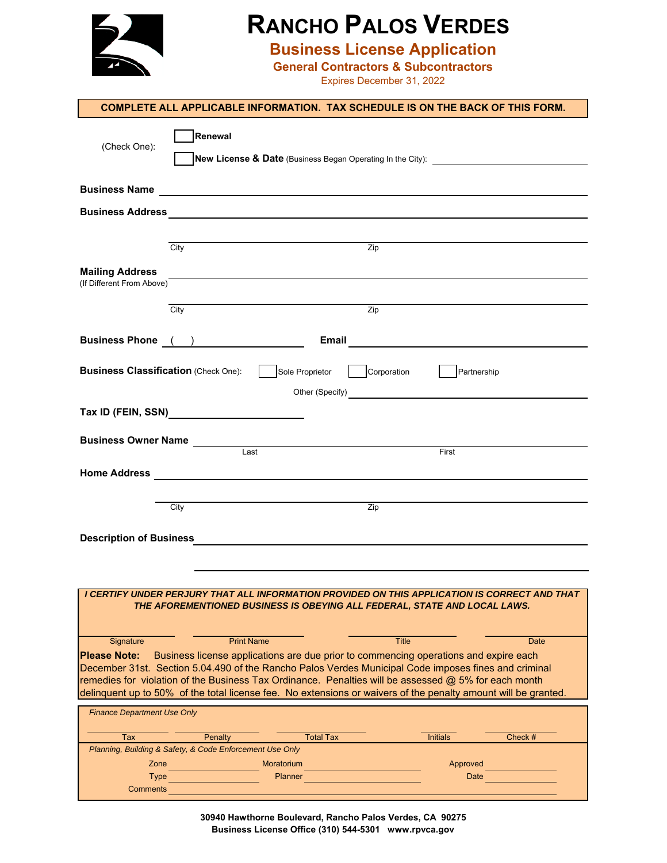

## **RANCHO PALOS VERDES**

**Business License Application**

**General Contractors & Subcontractors**

Expires December 31, 2022

|                                                     |                                                                                                                                                                                                           | <b>COMPLETE ALL APPLICABLE INFORMATION. TAX SCHEDULE IS ON THE BACK OF THIS FORM.</b>                                                                                                                                                                                                                                                                                                                                                  |         |
|-----------------------------------------------------|-----------------------------------------------------------------------------------------------------------------------------------------------------------------------------------------------------------|----------------------------------------------------------------------------------------------------------------------------------------------------------------------------------------------------------------------------------------------------------------------------------------------------------------------------------------------------------------------------------------------------------------------------------------|---------|
| (Check One):                                        | Renewal                                                                                                                                                                                                   | New License & Date (Business Began Operating In the City): _____________________                                                                                                                                                                                                                                                                                                                                                       |         |
|                                                     |                                                                                                                                                                                                           |                                                                                                                                                                                                                                                                                                                                                                                                                                        |         |
|                                                     |                                                                                                                                                                                                           |                                                                                                                                                                                                                                                                                                                                                                                                                                        |         |
|                                                     |                                                                                                                                                                                                           |                                                                                                                                                                                                                                                                                                                                                                                                                                        |         |
| <b>Mailing Address</b><br>(If Different From Above) | $\overline{City}$                                                                                                                                                                                         | Zip                                                                                                                                                                                                                                                                                                                                                                                                                                    |         |
|                                                     | City                                                                                                                                                                                                      | $\overline{Zip}$                                                                                                                                                                                                                                                                                                                                                                                                                       |         |
|                                                     | Business Phone ( )                                                                                                                                                                                        |                                                                                                                                                                                                                                                                                                                                                                                                                                        |         |
| <b>Business Classification (Check One):</b>         | Sole Proprietor                                                                                                                                                                                           | Partnership<br>Corporation                                                                                                                                                                                                                                                                                                                                                                                                             |         |
|                                                     |                                                                                                                                                                                                           |                                                                                                                                                                                                                                                                                                                                                                                                                                        |         |
| <b>Business Owner Name</b>                          |                                                                                                                                                                                                           |                                                                                                                                                                                                                                                                                                                                                                                                                                        |         |
|                                                     | Last                                                                                                                                                                                                      | First                                                                                                                                                                                                                                                                                                                                                                                                                                  |         |
|                                                     |                                                                                                                                                                                                           |                                                                                                                                                                                                                                                                                                                                                                                                                                        |         |
|                                                     | City                                                                                                                                                                                                      | $\overline{Zip}$                                                                                                                                                                                                                                                                                                                                                                                                                       |         |
|                                                     |                                                                                                                                                                                                           |                                                                                                                                                                                                                                                                                                                                                                                                                                        |         |
|                                                     |                                                                                                                                                                                                           |                                                                                                                                                                                                                                                                                                                                                                                                                                        |         |
|                                                     |                                                                                                                                                                                                           |                                                                                                                                                                                                                                                                                                                                                                                                                                        |         |
|                                                     |                                                                                                                                                                                                           | I CERTIFY UNDER PERJURY THAT ALL INFORMATION PROVIDED ON THIS APPLICATION IS CORRECT AND THAT<br>THE AFOREMENTIONED BUSINESS IS OBEYING ALL FEDERAL, STATE AND LOCAL LAWS.                                                                                                                                                                                                                                                             |         |
| Signature<br><b>Please Note:</b>                    | <b>Print Name</b>                                                                                                                                                                                         | <b>Title</b><br>Business license applications are due prior to commencing operations and expire each<br>December 31st. Section 5.04.490 of the Rancho Palos Verdes Municipal Code imposes fines and criminal<br>remedies for violation of the Business Tax Ordinance. Penalties will be assessed @ 5% for each month<br>delinquent up to 50% of the total license fee. No extensions or waivers of the penalty amount will be granted. | Date    |
| <b>Finance Department Use Only</b>                  |                                                                                                                                                                                                           |                                                                                                                                                                                                                                                                                                                                                                                                                                        |         |
| Tax                                                 | <b>Total Tax</b><br>Penalty                                                                                                                                                                               | <b>Initials</b>                                                                                                                                                                                                                                                                                                                                                                                                                        | Check # |
| Zone                                                | Planning, Building & Safety, & Code Enforcement Use Only<br>Moratorium<br>$\mathcal{L}^{\text{max}}_{\text{max}}$ and $\mathcal{L}^{\text{max}}_{\text{max}}$ and $\mathcal{L}^{\text{max}}_{\text{max}}$ | Approved                                                                                                                                                                                                                                                                                                                                                                                                                               |         |
| <b>Type</b><br><b>Comments</b>                      | Planner                                                                                                                                                                                                   | Date                                                                                                                                                                                                                                                                                                                                                                                                                                   |         |